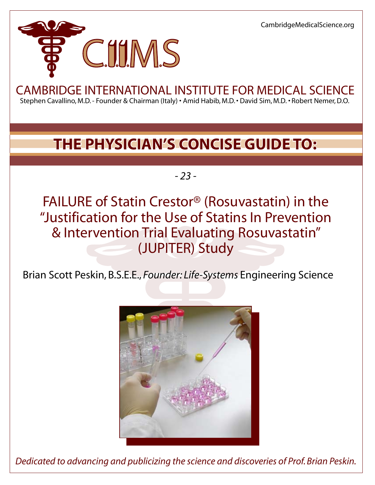CambridgeMedicalScience.org



# CAMBRIDGE INTERNATIONAL INSTITUTE FOR MEDICAL SCIENCE

Stephen Cavallino, M.D. - Founder & Chairman (Italy) • Amid Habib, M.D. • David Sim, M.D. *•* Robert Nemer, D.O.

## **THE PHYSICIAN'S CONCISE GUIDE TO:**

*- 23 -*

FAILURE of Statin Crestor® (Rosuvastatin) in the "Justification for the Use of Statins In Prevention & Intervention Trial Evaluating Rosuvastatin" (JUPITER) Study

Brian Scott Peskin, B.S.E.E., *Founder: Life-Systems* Engineering Science



*Dedicated to advancing and publicizing the science and discoveries of Prof. Brian Peskin.*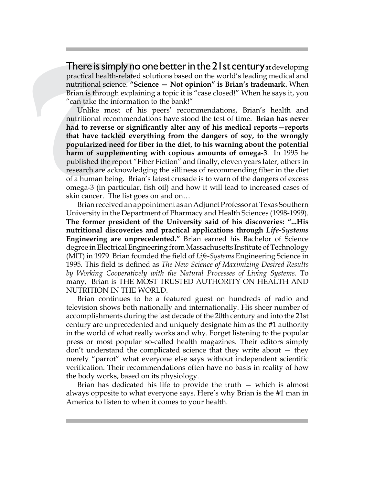There is simply no one better in the 21st century at developing practical health-related solutions based on the world's leading medical and nutritional science. **"Science — Not opinion" is Brian's trademark.** When Brian is through explaining a topic it is "case closed!" When he says it, you "can take the information to the bank!"

**There is simply r**<br>practical health-rela<br>nutritional science.<br>"Brian is through exp<br>"can take the inform<br>Unlike most of<br>nutritional recommed<br>had to reverse or si<br>that have tackled  $\epsilon$ <br>popularized need for<br>harm of supplem Unlike most of his peers' recommendations, Brian's health and nutritional recommendations have stood the test of time. **Brian has never had to reverse or significantly alter any of his medical reports—reports that have tackled everything from the dangers of soy, to the wrongly popularized need for fiber in the diet, to his warning about the potential harm of supplementing with copious amounts of omega-3**. In 1995 he published the report "Fiber Fiction" and finally, eleven years later, others in research are acknowledging the silliness of recommending fiber in the diet of a human being. Brian's latest crusade is to warn of the dangers of excess omega-3 (in particular, fish oil) and how it will lead to increased cases of skin cancer. The list goes on and on…

Brian received an appointment as an Adjunct Professor at Texas Southern University in the Department of Pharmacy and Health Sciences (1998-1999). **The former president of the University said of his discoveries: "...His nutritional discoveries and practical applications through** *Life-Systems*  **Engineering are unprecedented."** Brian earned his Bachelor of Science degree in Electrical Engineering from Massachusetts Institute of Technology (MIT) in 1979. Brian founded the field of *Life-Systems* Engineering Science in 1995. This field is defined as *The New Science of Maximizing Desired Results by Working Cooperatively with the Natural Processes of Living Systems*. To many, Brian is THE MOST TRUSTED AUTHORITY ON HEALTH AND NUTRITION IN THE WORLD.

Brian continues to be a featured guest on hundreds of radio and television shows both nationally and internationally. His sheer number of accomplishments during the last decade of the 20th century and into the 21st century are unprecedented and uniquely designate him as the #1 authority in the world of what really works and why. Forget listening to the popular press or most popular so-called health magazines. Their editors simply don't understand the complicated science that they write about — they merely "parrot" what everyone else says without independent scientific verification. Their recommendations often have no basis in reality of how the body works, based on its physiology.

Brian has dedicated his life to provide the truth — which is almost always opposite to what everyone says. Here's why Brian is the #1 man in America to listen to when it comes to your health.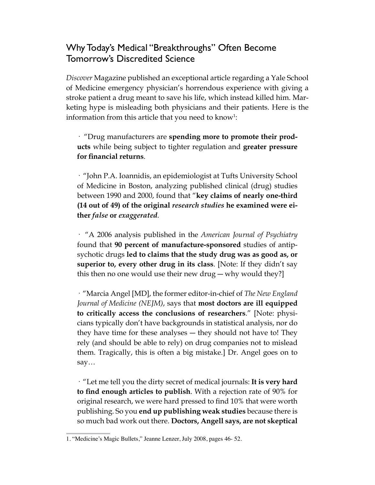## Why Today's Medical "Breakthroughs" Often Become Tomorrow's Discredited Science

*Discover* Magazine published an exceptional article regarding a Yale School of Medicine emergency physician's horrendous experience with giving a stroke patient a drug meant to save his life, which instead killed him. Marketing hype is misleading both physicians and their patients. Here is the information from this article that you need to  $kmow!$ :

· "Drug manufacturers are **spending more to promote their products** while being subject to tighter regulation and **greater pressure for financial returns**.

· "John P.A. Ioannidis, an epidemiologist at Tufts University School of Medicine in Boston, analyzing published clinical (drug) studies between 1990 and 2000, found that "**key claims of nearly one-third (14 out of 49) of the original** *research studies* **he examined were either** *false* **or** *exaggerated*.

· "A 2006 analysis published in the *American Journal of Psychiatry* found that **90 percent of manufacture-sponsored** studies of antipsychotic drugs **led to claims that the study drug was as good as, or superior to, every other drug in its class**. [Note: If they didn't say this then no one would use their new drug — why would they?]

· "Marcia Angel [MD], the former editor-in-chief of *The New England Journal of Medicine (NEJM)*, says that **most doctors are ill equipped to critically access the conclusions of researchers**." [Note: physicians typically don't have backgrounds in statistical analysis, nor do they have time for these analyses ― they should not have to! They rely (and should be able to rely) on drug companies not to mislead them. Tragically, this is often a big mistake.] Dr. Angel goes on to say…

· "Let me tell you the dirty secret of medical journals: **It is very hard to find enough articles to publish**. With a rejection rate of 90% for original research, we were hard pressed to find 10% that were worth publishing. So you **end up publishing weak studies** because there is so much bad work out there. **Doctors, Angell says, are not skeptical** 

<sup>1. &</sup>quot;Medicine's Magic Bullets," Jeanne Lenzer, July 2008, pages 46- 52.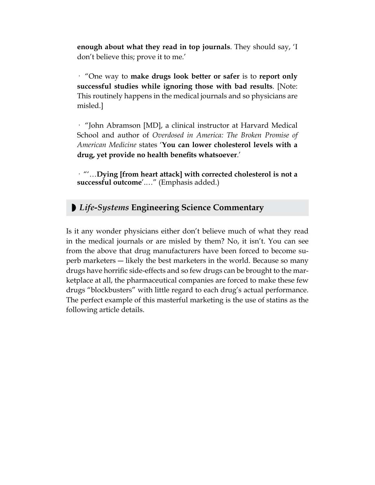**enough about what they read in top journals**. They should say, 'I don't believe this; prove it to me.'

· "One way to **make drugs look better or safer** is to **report only successful studies while ignoring those with bad results**. [Note: This routinely happens in the medical journals and so physicians are misled.]

· "John Abramson [MD], a clinical instructor at Harvard Medical School and author of *Overdosed in America: The Broken Promise of American Medicine* states '**You can lower cholesterol levels with a drug, yet provide no health benefits whatsoever**.'

· "'…**Dying [from heart attack] with corrected cholesterol is not a successful outcome**'.…" (Emphasis added.)

## ◗ *Life-Systems* **Engineering Science Commentary**

Is it any wonder physicians either don't believe much of what they read in the medical journals or are misled by them? No, it isn't. You can see from the above that drug manufacturers have been forced to become superb marketers ― likely the best marketers in the world. Because so many drugs have horrific side-effects and so few drugs can be brought to the marketplace at all, the pharmaceutical companies are forced to make these few drugs "blockbusters" with little regard to each drug's actual performance. The perfect example of this masterful marketing is the use of statins as the following article details.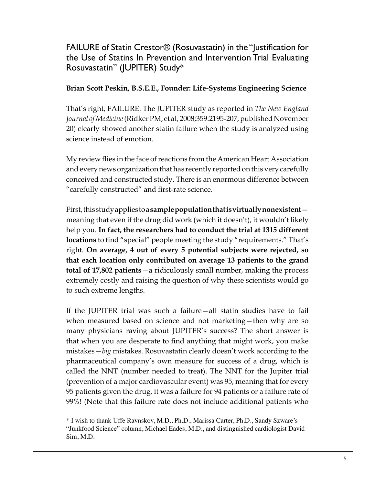FAILURE of Statin Crestor® (Rosuvastatin) in the "Justification for the Use of Statins In Prevention and Intervention Trial Evaluating Rosuvastatin" (JUPITER) Study\*

#### **Brian Scott Peskin, B.S.E.E., Founder: Life-Systems Engineering Science**

That's right, FAILURE. The JUPITER study as reported in *The New England Journal of Medicine* (Ridker PM, et al, 2008;359:2195-207, published November 20) clearly showed another statin failure when the study is analyzed using science instead of emotion.

My review flies in the face of reactions from the American Heart Association and every news organization that has recently reported on this very carefully conceived and constructed study. There is an enormous difference between "carefully constructed" and first-rate science.

First, this study applies to a **sample population that is virtually nonexistent** meaning that even if the drug did work (which it doesn't), it wouldn't likely help you. **In fact, the researchers had to conduct the trial at 1315 different locations** to find "special" people meeting the study "requirements." That's right. **On average, 4 out of every 5 potential subjects were rejected, so that each location only contributed on average 13 patients to the grand total of 17,802 patients**—a ridiculously small number, making the process extremely costly and raising the question of why these scientists would go to such extreme lengths.

If the JUPITER trial was such a failure—all statin studies have to fail when measured based on science and not marketing—then why are so many physicians raving about JUPITER's success? The short answer is that when you are desperate to find anything that might work, you make mistakes—*big* mistakes. Rosuvastatin clearly doesn't work according to the pharmaceutical company's own measure for success of a drug, which is called the NNT (number needed to treat). The NNT for the Jupiter trial (prevention of a major cardiovascular event) was 95, meaning that for every 95 patients given the drug, it was a failure for 94 patients or a failure rate of 99%! (Note that this failure rate does not include additional patients who

<sup>\*</sup> I wish to thank Uffe Ravnskov, M.D., Ph.D., Marissa Carter, Ph.D., Sandy Szware's "Junkfood Science" column, Michael Eades, M.D., and distinguished cardiologist David Sim, M.D.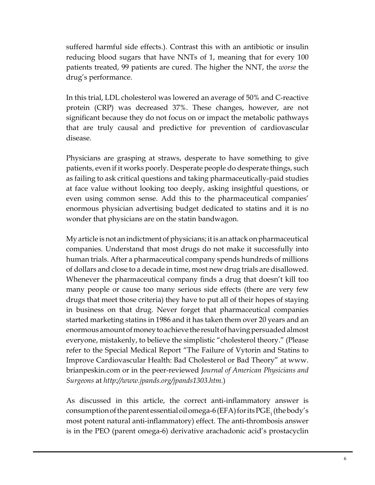suffered harmful side effects.). Contrast this with an antibiotic or insulin reducing blood sugars that have NNTs of 1, meaning that for every 100 patients treated, 99 patients are cured. The higher the NNT, the *worse* the drug's performance.

In this trial, LDL cholesterol was lowered an average of 50% and C-reactive protein (CRP) was decreased 37%. These changes, however, are not significant because they do not focus on or impact the metabolic pathways that are truly causal and predictive for prevention of cardiovascular disease.

Physicians are grasping at straws, desperate to have something to give patients, even if it works poorly. Desperate people do desperate things, such as failing to ask critical questions and taking pharmaceutically-paid studies at face value without looking too deeply, asking insightful questions, or even using common sense. Add this to the pharmaceutical companies' enormous physician advertising budget dedicated to statins and it is no wonder that physicians are on the statin bandwagon.

My article is not an indictment of physicians; it is an attack on pharmaceutical companies. Understand that most drugs do not make it successfully into human trials. After a pharmaceutical company spends hundreds of millions of dollars and close to a decade in time, most new drug trials are disallowed. Whenever the pharmaceutical company finds a drug that doesn't kill too many people or cause too many serious side effects (there are very few drugs that meet those criteria) they have to put all of their hopes of staying in business on that drug. Never forget that pharmaceutical companies started marketing statins in 1986 and it has taken them over 20 years and an enormous amount of money to achieve the result of having persuaded almost everyone, mistakenly, to believe the simplistic "cholesterol theory." (Please refer to the Special Medical Report "The Failure of Vytorin and Statins to Improve Cardiovascular Health: Bad Cholesterol or Bad Theory" at www. brianpeskin.com or in the peer-reviewed *Journal of American Physicians and Surgeons* at *http://www.jpands.org/jpands1303.htm*.)

As discussed in this article, the correct anti-inflammatory answer is consumption of the parent essential oil omega-6 (EFA) for its  $\mathrm{PGE}_{\text{1}}$  (the body's most potent natural anti-inflammatory) effect. The anti-thrombosis answer is in the PEO (parent omega-6) derivative arachadonic acid's prostacyclin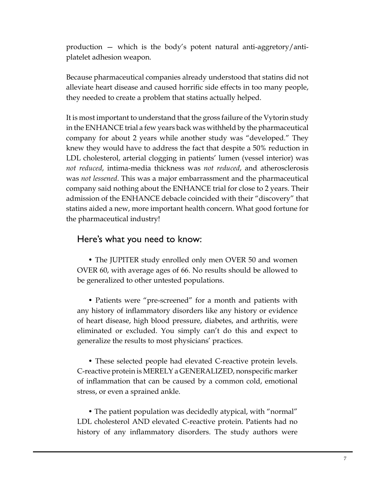production — which is the body's potent natural anti-aggretory/antiplatelet adhesion weapon.

Because pharmaceutical companies already understood that statins did not alleviate heart disease and caused horrific side effects in too many people, they needed to create a problem that statins actually helped.

It is most important to understand that the gross failure of the Vytorin study in the ENHANCE trial a few years back was withheld by the pharmaceutical company for about 2 years while another study was "developed." They knew they would have to address the fact that despite a 50% reduction in LDL cholesterol, arterial clogging in patients' lumen (vessel interior) was *not reduced*, intima-media thickness was *not reduced*, and atherosclerosis was *not lessened*. This was a major embarrassment and the pharmaceutical company said nothing about the ENHANCE trial for close to 2 years. Their admission of the ENHANCE debacle coincided with their "discovery" that statins aided a new, more important health concern. What good fortune for the pharmaceutical industry!

### Here's what you need to know:

• The JUPITER study enrolled only men OVER 50 and women OVER 60, with average ages of 66. No results should be allowed to be generalized to other untested populations.

• Patients were "pre-screened" for a month and patients with any history of inflammatory disorders like any history or evidence of heart disease, high blood pressure, diabetes, and arthritis, were eliminated or excluded. You simply can't do this and expect to generalize the results to most physicians' practices.

• These selected people had elevated C-reactive protein levels. C-reactive protein is MERELY a GENERALIZED, nonspecific marker of inflammation that can be caused by a common cold, emotional stress, or even a sprained ankle.

• The patient population was decidedly atypical, with "normal" LDL cholesterol AND elevated C-reactive protein. Patients had no history of any inflammatory disorders. The study authors were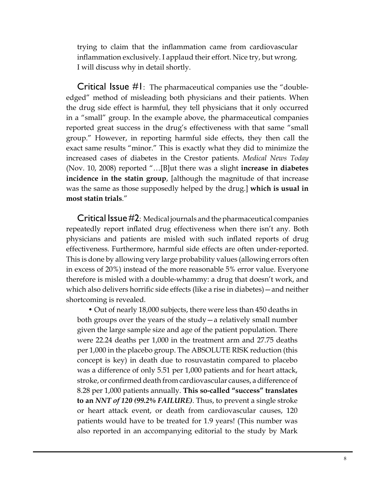trying to claim that the inflammation came from cardiovascular inflammation exclusively. I applaud their effort. Nice try, but wrong. I will discuss why in detail shortly.

Critical Issue #1: The pharmaceutical companies use the "doubleedged" method of misleading both physicians and their patients. When the drug side effect is harmful, they tell physicians that it only occurred in a "small" group. In the example above, the pharmaceutical companies reported great success in the drug's effectiveness with that same "small group." However, in reporting harmful side effects, they then call the exact same results "minor." This is exactly what they did to minimize the increased cases of diabetes in the Crestor patients. *Medical News Today* (Nov. 10, 2008) reported "…[B]ut there was a slight **increase in diabetes incidence in the statin group**, [although the magnitude of that increase was the same as those supposedly helped by the drug.] **which is usual in most statin trials**."

Critical Issue #2: Medical journals and the pharmaceutical companies repeatedly report inflated drug effectiveness when there isn't any. Both physicians and patients are misled with such inflated reports of drug effectiveness. Furthermore, harmful side effects are often under-reported. This is done by allowing very large probability values (allowing errors often in excess of 20%) instead of the more reasonable 5% error value. Everyone therefore is misled with a double-whammy: a drug that doesn't work, and which also delivers horrific side effects (like a rise in diabetes)—and neither shortcoming is revealed.

• Out of nearly 18,000 subjects, there were less than 450 deaths in both groups over the years of the study—a relatively small number given the large sample size and age of the patient population. There were 22.24 deaths per 1,000 in the treatment arm and 27.75 deaths per 1,000 in the placebo group. The ABSOLUTE RISK reduction (this concept is key) in death due to rosuvastatin compared to placebo was a difference of only 5.51 per 1,000 patients and for heart attack, stroke, or confirmed death from cardiovascular causes, a difference of 8.28 per 1,000 patients annually. **This so-called "success" translates to an** *NNT of 120 (99.2% FAILURE)*. Thus, to prevent a single stroke or heart attack event, or death from cardiovascular causes, 120 patients would have to be treated for 1.9 years! (This number was also reported in an accompanying editorial to the study by Mark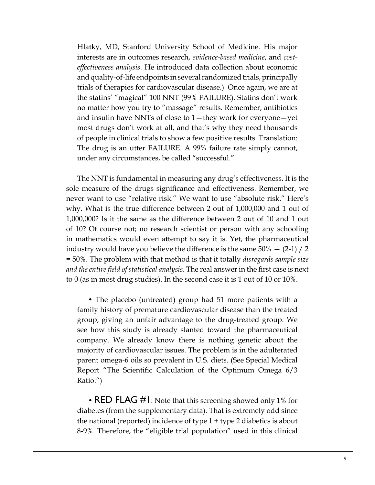Hlatky, MD, Stanford University School of Medicine. His major interests are in outcomes research, *evidence-based medicine*, and *costeffectiveness analysis*. He introduced data collection about economic and quality-of-life endpoints in several randomized trials, principally trials of therapies for cardiovascular disease.) Once again, we are at the statins' "magical" 100 NNT (99% FAILURE). Statins don't work no matter how you try to "massage" results. Remember, antibiotics and insulin have NNTs of close to 1—they work for everyone—yet most drugs don't work at all, and that's why they need thousands of people in clinical trials to show a few positive results. Translation: The drug is an utter FAILURE. A 99% failure rate simply cannot, under any circumstances, be called "successful."

The NNT is fundamental in measuring any drug's effectiveness. It is the sole measure of the drugs significance and effectiveness. Remember, we never want to use "relative risk." We want to use "absolute risk." Here's why. What is the true difference between 2 out of 1,000,000 and 1 out of 1,000,000? Is it the same as the difference between 2 out of 10 and 1 out of 10? Of course not; no research scientist or person with any schooling in mathematics would even attempt to say it is. Yet, the pharmaceutical industry would have you believe the difference is the same  $50\% - (2-1)/2$ = 50%. The problem with that method is that it totally *disregards sample size and the entire field of statistical analysis*. The real answer in the first case is next to 0 (as in most drug studies). In the second case it is 1 out of 10 or 10%.

• The placebo (untreated) group had 51 more patients with a family history of premature cardiovascular disease than the treated group, giving an unfair advantage to the drug-treated group. We see how this study is already slanted toward the pharmaceutical company. We already know there is nothing genetic about the majority of cardiovascular issues. The problem is in the adulterated parent omega-6 oils so prevalent in U.S. diets. (See Special Medical Report "The Scientific Calculation of the Optimum Omega 6/3 Ratio.")

• RED FLAG #1: Note that this screening showed only 1% for diabetes (from the supplementary data). That is extremely odd since the national (reported) incidence of type  $1 +$  type  $2$  diabetics is about 8-9%. Therefore, the "eligible trial population" used in this clinical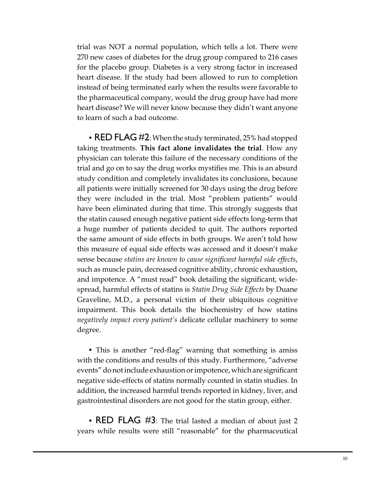trial was NOT a normal population, which tells a lot. There were 270 new cases of diabetes for the drug group compared to 216 cases for the placebo group. Diabetes is a very strong factor in increased heart disease. If the study had been allowed to run to completion instead of being terminated early when the results were favorable to the pharmaceutical company, would the drug group have had more heart disease? We will never know because they didn't want anyone to learn of such a bad outcome.

• RED FLAG #2: When the study terminated, 25% had stopped taking treatments. **This fact alone invalidates the trial**. How any physician can tolerate this failure of the necessary conditions of the trial and go on to say the drug works mystifies me. This is an absurd study condition and completely invalidates its conclusions, because all patients were initially screened for 30 days using the drug before they were included in the trial. Most "problem patients" would have been eliminated during that time. This strongly suggests that the statin caused enough negative patient side effects long-term that a huge number of patients decided to quit. The authors reported the same amount of side effects in both groups. We aren't told how this measure of equal side effects was accessed and it doesn't make sense because *statins are known to cause significant harmful side effects*, such as muscle pain, decreased cognitive ability, chronic exhaustion, and impotence. A "must read" book detailing the significant, widespread, harmful effects of statins is *Statin Drug Side Effects* by Duane Graveline, M.D., a personal victim of their ubiquitous cognitive impairment. This book details the biochemistry of how statins *negatively impact every patient's* delicate cellular machinery to some degree.

• This is another "red-flag" warning that something is amiss with the conditions and results of this study. Furthermore, "adverse events" do not include exhaustion or impotence, which are significant negative side-effects of statins normally counted in statin studies. In addition, the increased harmful trends reported in kidney, liver, and gastrointestinal disorders are not good for the statin group, either.

• RED FLAG #3: The trial lasted a median of about just 2 years while results were still "reasonable" for the pharmaceutical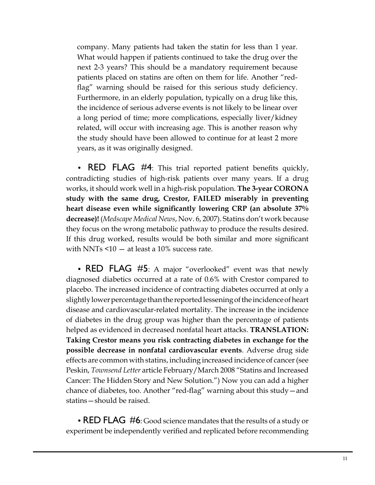company. Many patients had taken the statin for less than 1 year. What would happen if patients continued to take the drug over the next 2-3 years? This should be a mandatory requirement because patients placed on statins are often on them for life. Another "redflag" warning should be raised for this serious study deficiency. Furthermore, in an elderly population, typically on a drug like this, the incidence of serious adverse events is not likely to be linear over a long period of time; more complications, especially liver/kidney related, will occur with increasing age. This is another reason why the study should have been allowed to continue for at least 2 more years, as it was originally designed.

• RED FLAG #4: This trial reported patient benefits quickly, contradicting studies of high-risk patients over many years. If a drug works, it should work well in a high-risk population. **The 3-year CORONA study with the same drug, Crestor, FAILED miserably in preventing heart disease even while significantly lowering CRP (an absolute 37% decrease)!** (*Medscape Medical News*, Nov. 6, 2007). Statins don't work because they focus on the wrong metabolic pathway to produce the results desired. If this drug worked, results would be both similar and more significant with NNTs  $\leq 10 - at$  least a 10% success rate.

• RED FLAG #5: A major "overlooked" event was that newly diagnosed diabetics occurred at a rate of 0.6% with Crestor compared to placebo. The increased incidence of contracting diabetes occurred at only a slightly lower percentage than the reported lessening of the incidence of heart disease and cardiovascular-related mortality. The increase in the incidence of diabetes in the drug group was higher than the percentage of patients helped as evidenced in decreased nonfatal heart attacks. **TRANSLATION: Taking Crestor means you risk contracting diabetes in exchange for the possible decrease in nonfatal cardiovascular events**. Adverse drug side effects are common with statins, including increased incidence of cancer (see Peskin, *Townsend Letter* article February/March 2008 "Statins and Increased Cancer: The Hidden Story and New Solution.") Now you can add a higher chance of diabetes, too. Another "red-flag" warning about this study—and statins—should be raised.

• RED FLAG #6: Good science mandates that the results of a study or experiment be independently verified and replicated before recommending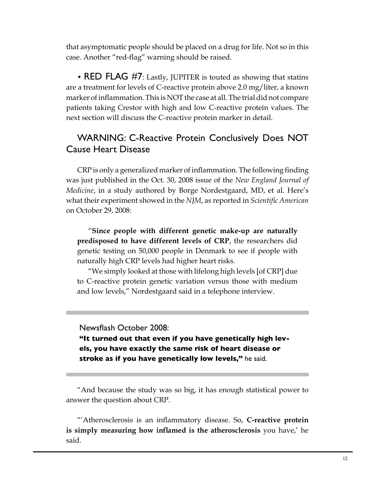that asymptomatic people should be placed on a drug for life. Not so in this case. Another "red-flag" warning should be raised.

• RED FLAG  $#7$ : Lastly, JUPITER is touted as showing that statins are a treatment for levels of C-reactive protein above 2.0 mg/liter, a known marker of inflammation. This is NOT the case at all. The trial did not compare patients taking Crestor with high and low C-reactive protein values. The next section will discuss the C-reactive protein marker in detail.

## WARNING: C-Reactive Protein Conclusively Does NOT Cause Heart Disease

CRP is only a generalized marker of inflammation. The following finding was just published in the Oct. 30, 2008 issue of the *New England Journal of Medicine*, in a study authored by Borge Nordestgaard, MD, et al. Here's what their experiment showed in the *NJM*, as reported in *Scientific American* on October 29, 2008:

"**Since people with different genetic make-up are naturally predisposed to have different levels of CRP**, the researchers did genetic testing on 50,000 people in Denmark to see if people with naturally high CRP levels had higher heart risks.

"We simply looked at those with lifelong high levels [of CRP] due to C-reactive protein genetic variation versus those with medium and low levels," Nordestgaard said in a telephone interview.

Newsflash October 2008:

**"It turned out that even if you have genetically high levels, you have exactly the same risk of heart disease or stroke as if you have genetically low levels,"** he said.

"And because the study was so big, it has enough statistical power to answer the question about CRP.

"'Atherosclerosis is an inflammatory disease. So, **C-reactive protein is simply measuring how inflamed is the atherosclerosis** you have,' he said.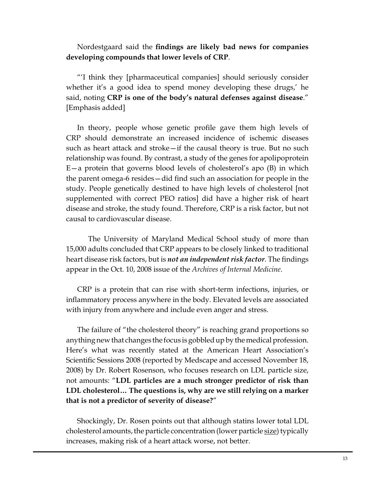Nordestgaard said the **findings are likely bad news for companies developing compounds that lower levels of CRP**.

"'I think they [pharmaceutical companies] should seriously consider whether it's a good idea to spend money developing these drugs,' he said, noting **CRP is one of the body's natural defenses against disease**." [Emphasis added]

In theory, people whose genetic profile gave them high levels of CRP should demonstrate an increased incidence of ischemic diseases such as heart attack and stroke—if the causal theory is true. But no such relationship was found. By contrast, a study of the genes for apolipoprotein E—a protein that governs blood levels of cholesterol's apo (B) in which the parent omega-6 resides—did find such an association for people in the study. People genetically destined to have high levels of cholesterol [not supplemented with correct PEO ratios] did have a higher risk of heart disease and stroke, the study found. Therefore, CRP is a risk factor, but not causal to cardiovascular disease.

The University of Maryland Medical School study of more than 15,000 adults concluded that CRP appears to be closely linked to traditional heart disease risk factors, but is *not an independent risk factor*. The findings appear in the Oct. 10, 2008 issue of the *Archives of Internal Medicine*.

CRP is a protein that can rise with short-term infections, injuries, or inflammatory process anywhere in the body. Elevated levels are associated with injury from anywhere and include even anger and stress.

The failure of "the cholesterol theory" is reaching grand proportions so anything new that changes the focus is gobbled up by the medical profession. Here's what was recently stated at the American Heart Association's Scientific Sessions 2008 (reported by Medscape and accessed November 18, 2008) by Dr. Robert Rosenson, who focuses research on LDL particle size, not amounts: "**LDL particles are a much stronger predictor of risk than LDL cholesterol… The questions is, why are we still relying on a marker that is not a predictor of severity of disease?**"

Shockingly, Dr. Rosen points out that although statins lower total LDL cholesterol amounts, the particle concentration (lower particle size) typically increases, making risk of a heart attack worse, not better.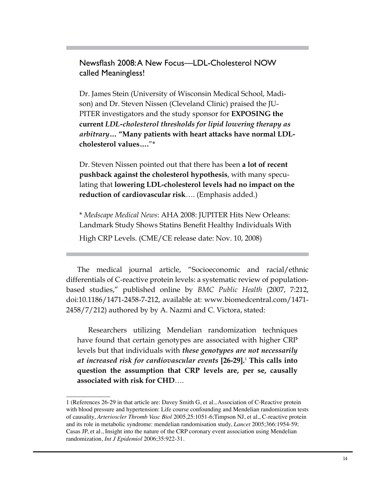Newsflash 2008: A New Focus—LDL-Cholesterol NOW called Meaningless!

Dr. James Stein (University of Wisconsin Medical School, Madison) and Dr. Steven Nissen (Cleveland Clinic) praised the JU-PITER investigators and the study sponsor for **EXPOSING the current** *LDL-cholesterol thresholds for lipid lowering therapy as arbitrary***… "Many patients with heart attacks have normal LDLcholesterol values….**"\*

Dr. Steven Nissen pointed out that there has been **a lot of recent pushback against the cholesterol hypothesis**, with many speculating that **lowering LDL-cholesterol levels had no impact on the reduction of cardiovascular risk**…. (Emphasis added.)

\* *Medscape Medical News*: AHA 2008: JUPITER Hits New Orleans: Landmark Study Shows Statins Benefit Healthy Individuals With

High CRP Levels. (CME/CE release date: Nov. 10, 2008)

The medical journal article, "Socioeconomic and racial/ethnic differentials of C-reactive protein levels: a systematic review of populationbased studies," published online by *BMC Public Health* (2007, 7:212, doi:10.1186/1471-2458-7-212, available at: www.biomedcentral.com/1471- 2458/7/212) authored by by A. Nazmi and C. Victora, stated:

Researchers utilizing Mendelian randomization techniques have found that certain genotypes are associated with higher CRP levels but that individuals with *these genotypes are not necessarily at increased risk for cardiovascular events* **[26-29].**<sup>1</sup>  **This calls into question the assumption that CRP levels are, per se, causally associated with risk for CHD**….

<sup>1 (</sup>References 26-29 in that article are: Davey Smith G, et al., Association of C-Reactive protein with blood pressure and hypertension: Life course confounding and Mendelian randomization tests of causality, *Arterioscler Thromb Vasc Biol* 2005,25:1051-6;Timpson NJ, et al., C-reactive protein and its role in metabolic syndrome: mendelian randomisation study, *Lancet* 2005;366:1954-59; Casas JP, et al., Insight into the nature of the CRP coronary event association using Mendelian randomization, *Int J Epidemiol* 2006;35:922-31.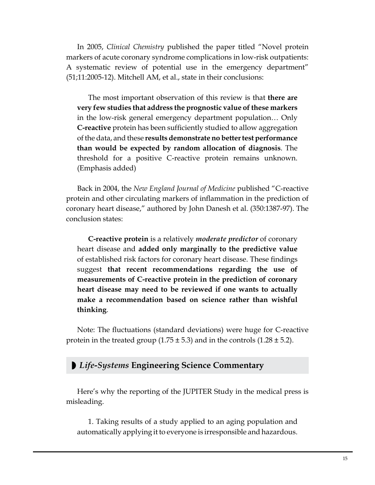In 2005, *Clinical Chemistry* published the paper titled "Novel protein markers of acute coronary syndrome complications in low-risk outpatients: A systematic review of potential use in the emergency department" (51;11:2005-12). Mitchell AM, et al., state in their conclusions:

The most important observation of this review is that **there are very few studies that address the prognostic value of these markers** in the low-risk general emergency department population… Only **C-reactive** protein has been sufficiently studied to allow aggregation of the data, and these **results demonstrate no better test performance than would be expected by random allocation of diagnosis**. The threshold for a positive C-reactive protein remains unknown. (Emphasis added)

Back in 2004, the *New England Journal of Medicine* published "C-reactive protein and other circulating markers of inflammation in the prediction of coronary heart disease," authored by John Danesh et al. (350:1387-97). The conclusion states:

**C-reactive protein** is a relatively *moderate predictor* of coronary heart disease and **added only marginally to the predictive value** of established risk factors for coronary heart disease. These findings suggest **that recent recommendations regarding the use of measurements of C-reactive protein in the prediction of coronary heart disease may need to be reviewed if one wants to actually make a recommendation based on science rather than wishful thinking**.

Note: The fluctuations (standard deviations) were huge for C-reactive protein in the treated group  $(1.75 \pm 5.3)$  and in the controls  $(1.28 \pm 5.2)$ .

### ◗ *Life-Systems* **Engineering Science Commentary**

Here's why the reporting of the JUPITER Study in the medical press is misleading.

1. Taking results of a study applied to an aging population and automatically applying it to everyone is irresponsible and hazardous.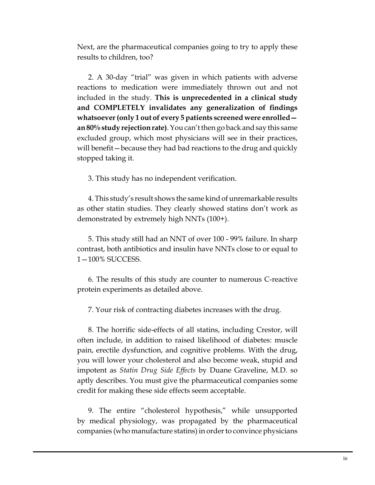Next, are the pharmaceutical companies going to try to apply these results to children, too?

2. A 30-day "trial" was given in which patients with adverse reactions to medication were immediately thrown out and not included in the study. **This is unprecedented in a clinical study and COMPLETELY invalidates any generalization of findings whatsoever (only 1 out of every 5 patients screened were enrolled an 80% study rejection rate)**. You can't then go back and say this same excluded group, which most physicians will see in their practices, will benefit—because they had bad reactions to the drug and quickly stopped taking it.

3. This study has no independent verification.

4. This study's result shows the same kind of unremarkable results as other statin studies. They clearly showed statins don't work as demonstrated by extremely high NNTs (100+).

5. This study still had an NNT of over 100 - 99% failure. In sharp contrast, both antibiotics and insulin have NNTs close to or equal to 1—100% SUCCESS.

6. The results of this study are counter to numerous C-reactive protein experiments as detailed above.

7. Your risk of contracting diabetes increases with the drug.

8. The horrific side-effects of all statins, including Crestor, will often include, in addition to raised likelihood of diabetes: muscle pain, erectile dysfunction, and cognitive problems. With the drug, you will lower your cholesterol and also become weak, stupid and impotent as *Statin Drug Side Effects* by Duane Graveline, M.D. so aptly describes. You must give the pharmaceutical companies some credit for making these side effects seem acceptable.

9. The entire "cholesterol hypothesis," while unsupported by medical physiology, was propagated by the pharmaceutical companies (who manufacture statins) in order to convince physicians